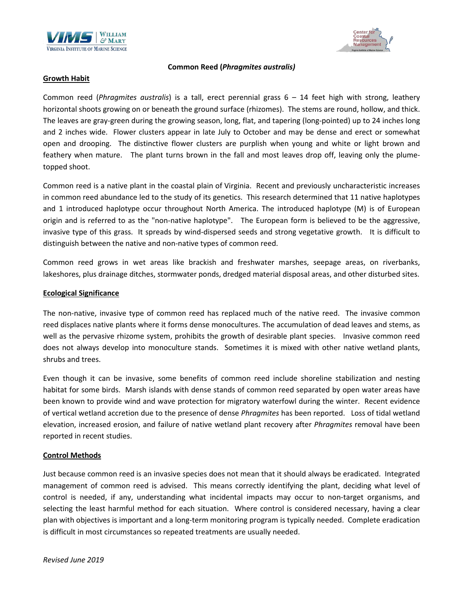



#### **Common Reed (***Phragmites australis)*

### **Growth Habit**

Common reed (*Phragmites australis*) is a tall, erect perennial grass 6 – 14 feet high with strong, leathery horizontal shoots growing on or beneath the ground surface (rhizomes). The stems are round, hollow, and thick. The leaves are gray-green during the growing season, long, flat, and tapering (long-pointed) up to 24 inches long and 2 inches wide. Flower clusters appear in late July to October and may be dense and erect or somewhat open and drooping. The distinctive flower clusters are purplish when young and white or light brown and feathery when mature. The plant turns brown in the fall and most leaves drop off, leaving only the plumetopped shoot.

Common reed is a native plant in the coastal plain of Virginia. Recent and previously uncharacteristic increases in common reed abundance led to the study of its genetics. This research determined that 11 native haplotypes and 1 introduced haplotype occur throughout North America. The introduced haplotype (M) is of European origin and is referred to as the "non-native haplotype". The European form is believed to be the aggressive, invasive type of this grass. It spreads by wind-dispersed seeds and strong vegetative growth. It is difficult to distinguish between the native and non-native types of common reed.

Common reed grows in wet areas like brackish and freshwater marshes, seepage areas, on riverbanks, lakeshores, plus drainage ditches, stormwater ponds, dredged material disposal areas, and other disturbed sites.

#### **Ecological Significance**

The non-native, invasive type of common reed has replaced much of the native reed. The invasive common reed displaces native plants where it forms dense monocultures. The accumulation of dead leaves and stems, as well as the pervasive rhizome system, prohibits the growth of desirable plant species. Invasive common reed does not always develop into monoculture stands. Sometimes it is mixed with other native wetland plants, shrubs and trees.

Even though it can be invasive, some benefits of common reed include shoreline stabilization and nesting habitat for some birds. Marsh islands with dense stands of common reed separated by open water areas have been known to provide wind and wave protection for migratory waterfowl during the winter. Recent evidence of vertical wetland accretion due to the presence of dense *Phragmites* has been reported. Loss of tidal wetland elevation, increased erosion, and failure of native wetland plant recovery after *Phragmites* removal have been reported in recent studies.

### **Control Methods**

Just because common reed is an invasive species does not mean that it should always be eradicated. Integrated management of common reed is advised. This means correctly identifying the plant, deciding what level of control is needed, if any, understanding what incidental impacts may occur to non-target organisms, and selecting the least harmful method for each situation. Where control is considered necessary, having a clear plan with objectives is important and a long-term monitoring program is typically needed. Complete eradication is difficult in most circumstances so repeated treatments are usually needed.